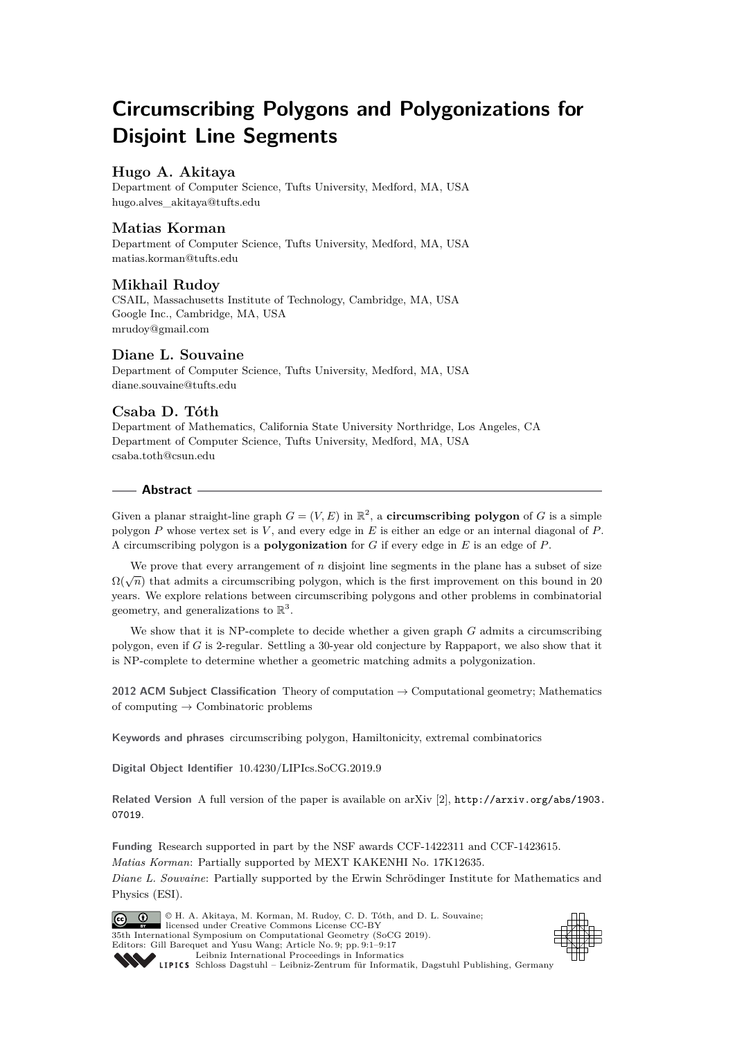# **Circumscribing Polygons and Polygonizations for Disjoint Line Segments**

# **Hugo A. Akitaya**

Department of Computer Science, Tufts University, Medford, MA, USA [hugo.alves\\_akitaya@tufts.edu](mailto:hugo.alves_akitaya@tufts.edu)

# **Matias Korman**

Department of Computer Science, Tufts University, Medford, MA, USA [matias.korman@tufts.edu](mailto:matias.korman@tufts.edu)

## **Mikhail Rudoy**

CSAIL, Massachusetts Institute of Technology, Cambridge, MA, USA Google Inc., Cambridge, MA, USA [mrudoy@gmail.com](mailto:mrudoy@gmail.com)

# **Diane L. Souvaine**

Department of Computer Science, Tufts University, Medford, MA, USA [diane.souvaine@tufts.edu](mailto:diane.souvaine@tufts.edu)

## **Csaba D. Tóth**

Department of Mathematics, California State University Northridge, Los Angeles, CA Department of Computer Science, Tufts University, Medford, MA, USA [csaba.toth@csun.edu](mailto:csaba.toth@csun.edu)

#### **Abstract**

Given a planar straight-line graph  $G = (V, E)$  in  $\mathbb{R}^2$ , a **circumscribing polygon** of *G* is a simple polygon *P* whose vertex set is *V* , and every edge in *E* is either an edge or an internal diagonal of *P*. A circumscribing polygon is a **polygonization** for *G* if every edge in *E* is an edge of *P*.

We prove that every arrangement of *n* disjoint line segments in the plane has a subset of size  $\Omega(\sqrt{n})$  that admits a circumscribing polygon, which is the first improvement on this bound in 20 years. We explore relations between circumscribing polygons and other problems in combinatorial geometry, and generalizations to  $\mathbb{R}^3$ .

We show that it is NP-complete to decide whether a given graph *G* admits a circumscribing polygon, even if *G* is 2-regular. Settling a 30-year old conjecture by Rappaport, we also show that it is NP-complete to determine whether a geometric matching admits a polygonization.

**2012 ACM Subject Classification** Theory of computation → Computational geometry; Mathematics of computing  $\rightarrow$  Combinatoric problems

**Keywords and phrases** circumscribing polygon, Hamiltonicity, extremal combinatorics

**Digital Object Identifier** [10.4230/LIPIcs.SoCG.2019.9](https://doi.org/10.4230/LIPIcs.SoCG.2019.9)

**Related Version** A full version of the paper is available on arXiv [\[2\]](#page-15-0), [http://arxiv.org/abs/1903.](http://arxiv.org/abs/1903.07019) [07019](http://arxiv.org/abs/1903.07019).

**Funding** Research supported in part by the NSF awards CCF-1422311 and CCF-1423615. *Matias Korman*: Partially supported by MEXT KAKENHI No. 17K12635.

*Diane L. Souvaine*: Partially supported by the Erwin Schrödinger Institute for Mathematics and Physics (ESI).



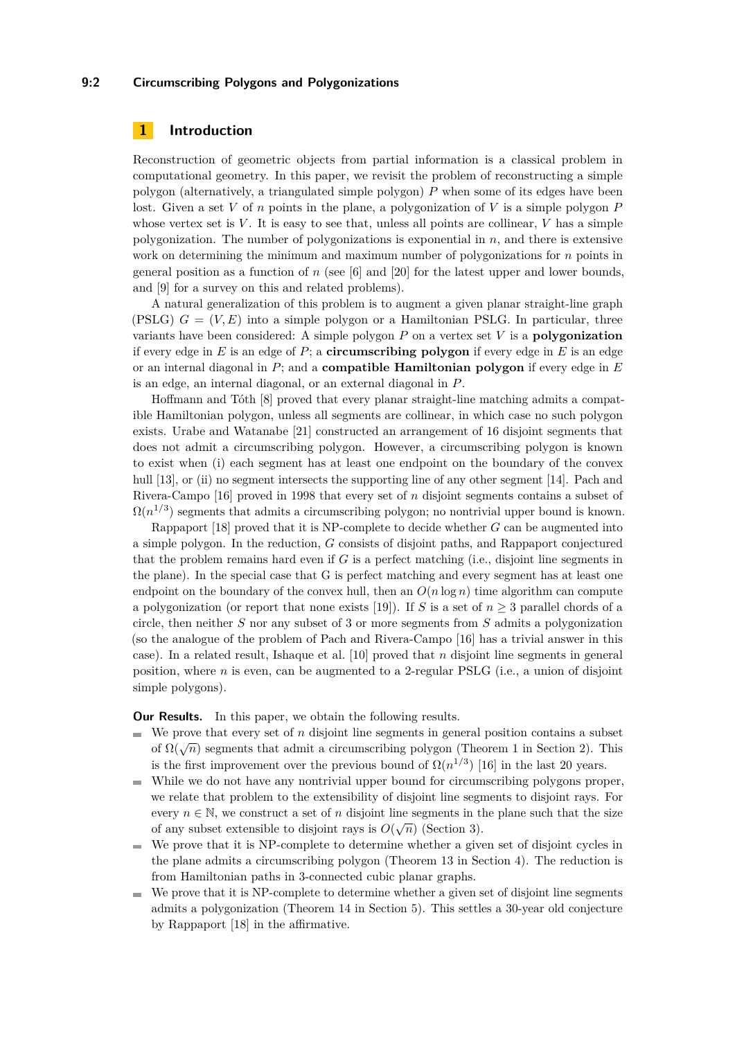## **9:2 Circumscribing Polygons and Polygonizations**

# **1 Introduction**

Reconstruction of geometric objects from partial information is a classical problem in computational geometry. In this paper, we revisit the problem of reconstructing a simple polygon (alternatively, a triangulated simple polygon) *P* when some of its edges have been lost. Given a set V of *n* points in the plane, a polygonization of V is a simple polygon P whose vertex set is *V* . It is easy to see that, unless all points are collinear, *V* has a simple polygonization. The number of polygonizations is exponential in *n*, and there is extensive work on determining the minimum and maximum number of polygonizations for *n* points in general position as a function of *n* (see [\[6\]](#page-15-1) and [\[20\]](#page-16-1) for the latest upper and lower bounds, and [\[9\]](#page-15-2) for a survey on this and related problems).

A natural generalization of this problem is to augment a given planar straight-line graph (PSLG)  $G = (V, E)$  into a simple polygon or a Hamiltonian PSLG. In particular, three variants have been considered: A simple polygon *P* on a vertex set *V* is a **polygonization** if every edge in *E* is an edge of *P*; a **circumscribing polygon** if every edge in *E* is an edge or an internal diagonal in *P*; and a **compatible Hamiltonian polygon** if every edge in *E* is an edge, an internal diagonal, or an external diagonal in *P*.

Hoffmann and Tóth [\[8\]](#page-15-3) proved that every planar straight-line matching admits a compatible Hamiltonian polygon, unless all segments are collinear, in which case no such polygon exists. Urabe and Watanabe [\[21\]](#page-16-2) constructed an arrangement of 16 disjoint segments that does not admit a circumscribing polygon. However, a circumscribing polygon is known to exist when (i) each segment has at least one endpoint on the boundary of the convex hull [\[13\]](#page-15-4), or (ii) no segment intersects the supporting line of any other segment [\[14\]](#page-15-5). Pach and Rivera-Campo [\[16\]](#page-16-3) proved in 1998 that every set of *n* disjoint segments contains a subset of  $\Omega(n^{1/3})$  segments that admits a circumscribing polygon; no nontrivial upper bound is known.

Rappaport [\[18\]](#page-16-4) proved that it is NP-complete to decide whether *G* can be augmented into a simple polygon. In the reduction, *G* consists of disjoint paths, and Rappaport conjectured that the problem remains hard even if *G* is a perfect matching (i.e., disjoint line segments in the plane). In the special case that G is perfect matching and every segment has at least one endpoint on the boundary of the convex hull, then an  $O(n \log n)$  time algorithm can compute a polygonization (or report that none exists [\[19\]](#page-16-5)). If *S* is a set of  $n \geq 3$  parallel chords of a circle, then neither *S* nor any subset of 3 or more segments from *S* admits a polygonization (so the analogue of the problem of Pach and Rivera-Campo [\[16\]](#page-16-3) has a trivial answer in this case). In a related result, Ishaque et al. [\[10\]](#page-15-6) proved that *n* disjoint line segments in general position, where *n* is even, can be augmented to a 2-regular PSLG (i.e., a union of disjoint simple polygons).

**Our Results.** In this paper, we obtain the following results.

- $\blacksquare$  We prove that every set of *n* disjoint line segments in general position contains a subset of  $\Omega(\sqrt{n})$  segments that admit a circumscribing polygon (Theorem [1](#page-2-0) in Section [2\)](#page-2-1). This is the first improvement over the previous bound of  $\Omega(n^{1/3})$  [\[16\]](#page-16-3) in the last 20 years.
- While we do not have any nontrivial upper bound for circumscribing polygons proper,  $\sim$ we relate that problem to the extensibility of disjoint line segments to disjoint rays. For every  $n \in \mathbb{N}$ , we construct a set of *n* disjoint line segments in the plane such that the size of any subset extensible to disjoint rays is  $O(\sqrt{n})$  (Section [3\)](#page-9-0).
- We prove that it is NP-complete to determine whether a given set of disjoint cycles in the plane admits a circumscribing polygon (Theorem [13](#page-11-0) in Section [4\)](#page-11-1). The reduction is from Hamiltonian paths in 3-connected cubic planar graphs.
- $\blacksquare$  We prove that it is NP-complete to determine whether a given set of disjoint line segments admits a polygonization (Theorem [14](#page-13-0) in Section [5\)](#page-12-0). This settles a 30-year old conjecture by Rappaport [\[18\]](#page-16-4) in the affirmative.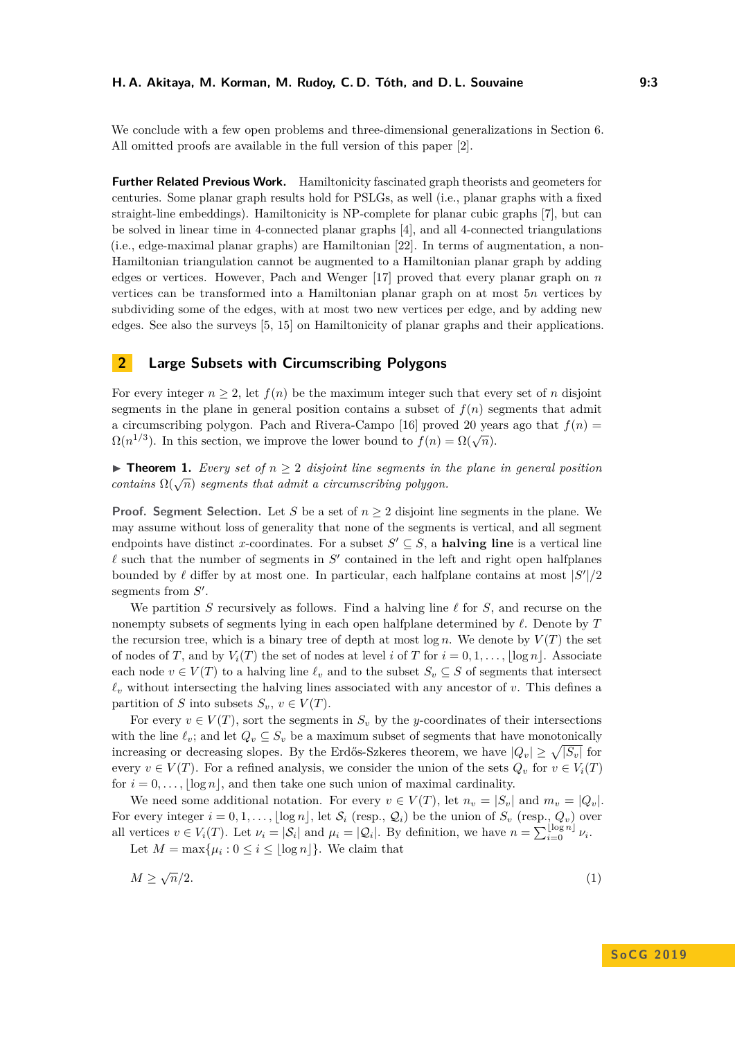#### **H. A. Akitaya, M. Korman, M. Rudoy, C. D. Tóth, and D. L. Souvaine 9:3**

We conclude with a few open problems and three-dimensional generalizations in Section [6.](#page-13-1) All omitted proofs are available in the full version of this paper [\[2\]](#page-15-0).

**Further Related Previous Work.** Hamiltonicity fascinated graph theorists and geometers for centuries. Some planar graph results hold for PSLGs, as well (i.e., planar graphs with a fixed straight-line embeddings). Hamiltonicity is NP-complete for planar cubic graphs [\[7\]](#page-15-7), but can be solved in linear time in 4-connected planar graphs [\[4\]](#page-15-8), and all 4-connected triangulations (i.e., edge-maximal planar graphs) are Hamiltonian [\[22\]](#page-16-6). In terms of augmentation, a non-Hamiltonian triangulation cannot be augmented to a Hamiltonian planar graph by adding edges or vertices. However, Pach and Wenger [\[17\]](#page-16-7) proved that every planar graph on *n* vertices can be transformed into a Hamiltonian planar graph on at most 5*n* vertices by subdividing some of the edges, with at most two new vertices per edge, and by adding new edges. See also the surveys [\[5,](#page-15-9) [15\]](#page-15-10) on Hamiltonicity of planar graphs and their applications.

# <span id="page-2-1"></span>**2 Large Subsets with Circumscribing Polygons**

For every integer  $n \geq 2$ , let  $f(n)$  be the maximum integer such that every set of *n* disjoint segments in the plane in general position contains a subset of  $f(n)$  segments that admit a circumscribing polygon. Pach and Rivera-Campo [\[16\]](#page-16-3) proved 20 years ago that  $f(n)$  =  $\Omega(n^{1/3})$ . In this section, we improve the lower bound to  $f(n) = \Omega(\sqrt{n})$ .

<span id="page-2-0"></span> $\triangleright$  **Theorem 1.** *Every set of*  $n > 2$  *disjoint line segments in the plane in general position contains*  $\Omega(\sqrt{n})$  *segments that admit a circumscribing polygon.* 

**Proof.** Segment Selection. Let *S* be a set of  $n \geq 2$  disjoint line segments in the plane. We may assume without loss of generality that none of the segments is vertical, and all segment endpoints have distinct *x*-coordinates. For a subset  $S' \subseteq S$ , a **halving line** is a vertical line  $\ell$  such that the number of segments in  $S'$  contained in the left and right open halfplanes bounded by  $\ell$  differ by at most one. In particular, each halfplane contains at most  $|S'|/2$ segments from  $S'$ .

We partition *S* recursively as follows. Find a halving line  $\ell$  for *S*, and recurse on the nonempty subsets of segments lying in each open halfplane determined by  $\ell$ . Denote by  $T$ the recursion tree, which is a binary tree of depth at most  $\log n$ . We denote by  $V(T)$  the set of nodes of *T*, and by  $V_i(T)$  the set of nodes at level *i* of *T* for  $i = 0, 1, \ldots, \lfloor \log n \rfloor$ . Associate each node  $v \in V(T)$  to a halving line  $\ell_v$  and to the subset  $S_v \subseteq S$  of segments that intersect  $\ell_v$  without intersecting the halving lines associated with any ancestor of *v*. This defines a partition of *S* into subsets  $S_v$ ,  $v \in V(T)$ .

For every  $v \in V(T)$ , sort the segments in  $S_v$  by the *y*-coordinates of their intersections with the line  $\ell_v$ ; and let  $Q_v \subseteq S_v$  be a maximum subset of segments that have monotonically increasing or decreasing slopes. By the Erdős-Szkeres theorem, we have  $|Q_v| \ge \sqrt{|S_v|}$  for every  $v \in V(T)$ . For a refined analysis, we consider the union of the sets  $Q_v$  for  $v \in V_i(T)$ for  $i = 0, \ldots, \lfloor \log n \rfloor$ , and then take one such union of maximal cardinality.

We need some additional notation. For every  $v \in V(T)$ , let  $n_v = |S_v|$  and  $m_v = |Q_v|$ . For every integer  $i = 0, 1, \ldots, |\log n|$ , let  $S_i$  (resp.,  $\mathcal{Q}_i$ ) be the union of  $S_v$  (resp.,  $Q_v$ ) over all vertices  $v \in V_i(T)$ . Let  $\nu_i = |\mathcal{S}_i|$  and  $\mu_i = |\mathcal{Q}_i|$ . By definition, we have  $n = \sum_{i=0}^{\lfloor \log n \rfloor} \nu_i$ .

Let  $M = \max\{\mu_i : 0 \le i \le \lfloor \log n \rfloor\}$ . We claim that

<span id="page-2-2"></span>
$$
M \ge \sqrt{n}/2. \tag{1}
$$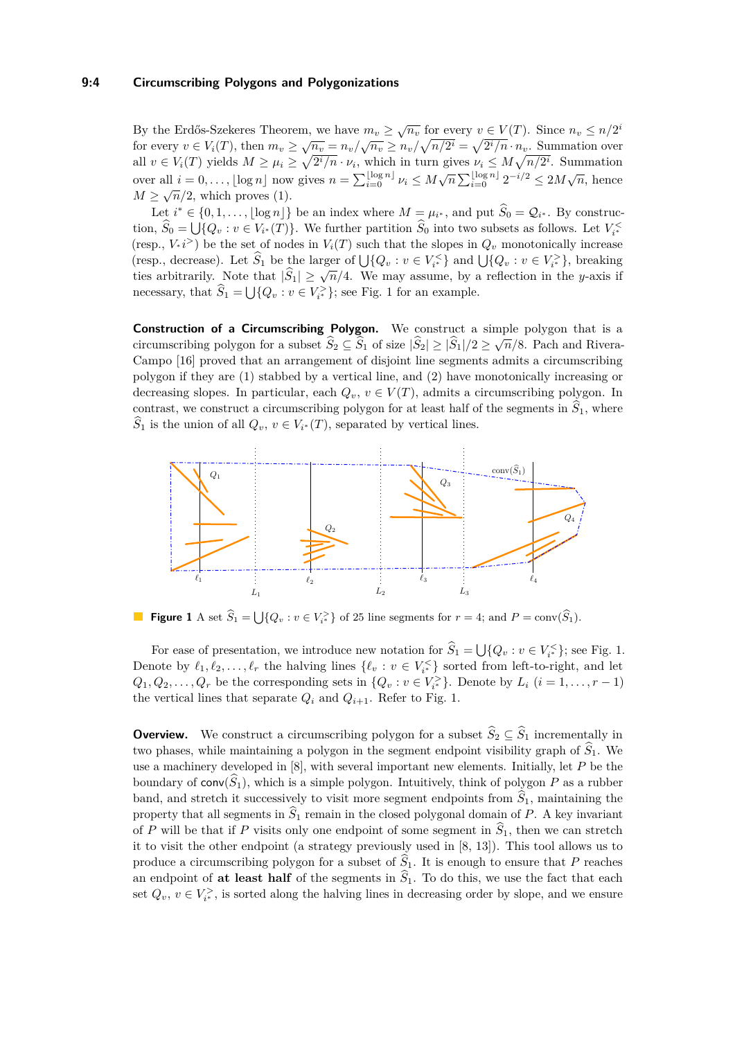#### **9:4 Circumscribing Polygons and Polygonizations**

By the Erdős-Szekeres Theorem, we have  $m_v \ge \sqrt{n_v}$  for every  $v \in V(T)$ . Since  $n_v \le n/2^i$ For every  $v \in V_i(T)$ , then  $m_v \ge \sqrt{n_v} = n_v/\sqrt{n_v} \ge n_v/\sqrt{n/2^i} = \sqrt{2^i/n} \cdot n_v$ . Summation over all  $v \in V_i(T)$  yields  $M \ge \mu_i \ge \sqrt{2^i/n} \cdot \nu_i$ , which in turn gives  $\nu_i \le M\sqrt{n/2^i}$ . Summation over all  $i = 0, \ldots, \lfloor \log n \rfloor$  now gives  $n = \sum_{i=0}^{\lfloor \log n \rfloor} \nu_i \leq M \sqrt{n} \sum_{i=0}^{\lfloor \log n \rfloor} 2^{-i/2} \leq 2M \sqrt{n}$ , hence  $M \geq \sqrt{n}/2$ , which proves [\(1\)](#page-2-2).

Let  $i^* \in \{0, 1, \ldots, \lfloor \log n \rfloor\}$  be an index where  $M = \mu_{i^*}$ , and put  $\widehat{S}_0 = \mathcal{Q}_{i^*}$ . By construc- ${\widehat{\mathcal{S}}}_0 = \bigcup \{Q_v : v \in V_{i^*}(T)\}$ . We further partition  $\widehat{S}_0$  into two subsets as follows. Let  $V_{i^*}$ (resp.,  $V_*i^>$ ) be the set of nodes in  $V_i(T)$  such that the slopes in  $Q_v$  monotonically increase (resp., decrease). Let  $\widehat{S}_1$  be the larger of  $\bigcup \{Q_v : v \in V_i^{\leq} \}$  and  $\bigcup \{Q_v : v \in V_i^{\geq} \}$ , breaking ties arbitrarily. Note that  $|\hat{S}_1| \ge \sqrt{n}/4$ . We may assume, by a reflection in the *y*-axis if necessary, that  $\hat{S}_1 = \bigcup \{Q_v : v \in V_{i^*}^{\geq} \}$ ; see Fig. [1](#page-3-0) for an example.

**Construction of a Circumscribing Polygon.** We construct a simple polygon that is a circumscribing polygon for a subset  $S_2 \subseteq S_1$  of size  $|S_2| \ge |S_1|/2 \ge \sqrt{n}/8$ . Pach and Rivera-Campo [\[16\]](#page-16-3) proved that an arrangement of disjoint line segments admits a circumscribing polygon if they are (1) stabbed by a vertical line, and (2) have monotonically increasing or decreasing slopes. In particular, each  $Q_v$ ,  $v \in V(T)$ , admits a circumscribing polygon. In contrast, we construct a circumscribing polygon for at least half of the segments in  $S_1$ , where *S*<sub>1</sub> is the union of all  $Q_v$ ,  $v \in V_i^*(T)$ , separated by vertical lines.

<span id="page-3-0"></span>

**Figure 1** A set  $\widehat{S}_1 = \bigcup \{Q_v : v \in V_i^{\geq} \}$  of 25 line segments for  $r = 4$ ; and  $P = \text{conv}(\widehat{S}_1)$ .

For ease of presentation, we introduce new notation for  $\widehat{S}_1 = \bigcup \{Q_v : v \in V_{i^*}^{\leq} \}$ ; see Fig. [1.](#page-3-0) Denote by  $\ell_1, \ell_2, \ldots, \ell_r$  the halving lines  $\{\ell_v : v \in V_{i^*}^{\leq} \}$  sorted from left-to-right, and let  $Q_1, Q_2, \ldots, Q_r$  be the corresponding sets in  $\{Q_v : v \in V_i^{\geq} \}$ . Denote by  $L_i$   $(i = 1, \ldots, r - 1)$ the vertical lines that separate  $Q_i$  and  $Q_{i+1}$ . Refer to Fig. [1.](#page-3-0)

**Overview.** We construct a circumscribing polygon for a subset  $\widehat{S}_2 \subseteq \widehat{S}_1$  incrementally in two phases, while maintaining a polygon in the segment endpoint visibility graph of  $\hat{S}_1$ . We use a machinery developed in [\[8\]](#page-15-3), with several important new elements. Initially, let *P* be the boundary of  $conv(S_1)$ , which is a simple polygon. Intuitively, think of polygon P as a rubber band, and stretch it successively to visit more segment endpoints from  $\hat{S}_1$ , maintaining the property that all segments in  $\hat{S}_1$  remain in the closed polygonal domain of *P*. A key invariant of *P* will be that if *P* visits only one endpoint of some segment in  $\hat{S}_1$ , then we can stretch it to visit the other endpoint (a strategy previously used in [\[8,](#page-15-3) [13\]](#page-15-4)). This tool allows us to produce a circumscribing polygon for a subset of  $\hat{S}_1$ . It is enough to ensure that *P* reaches an endpoint of **at least half** of the segments in  $\hat{S}_1$ . To do this, we use the fact that each set  $Q_v$ ,  $v \in V_i^>$ , is sorted along the halving lines in decreasing order by slope, and we ensure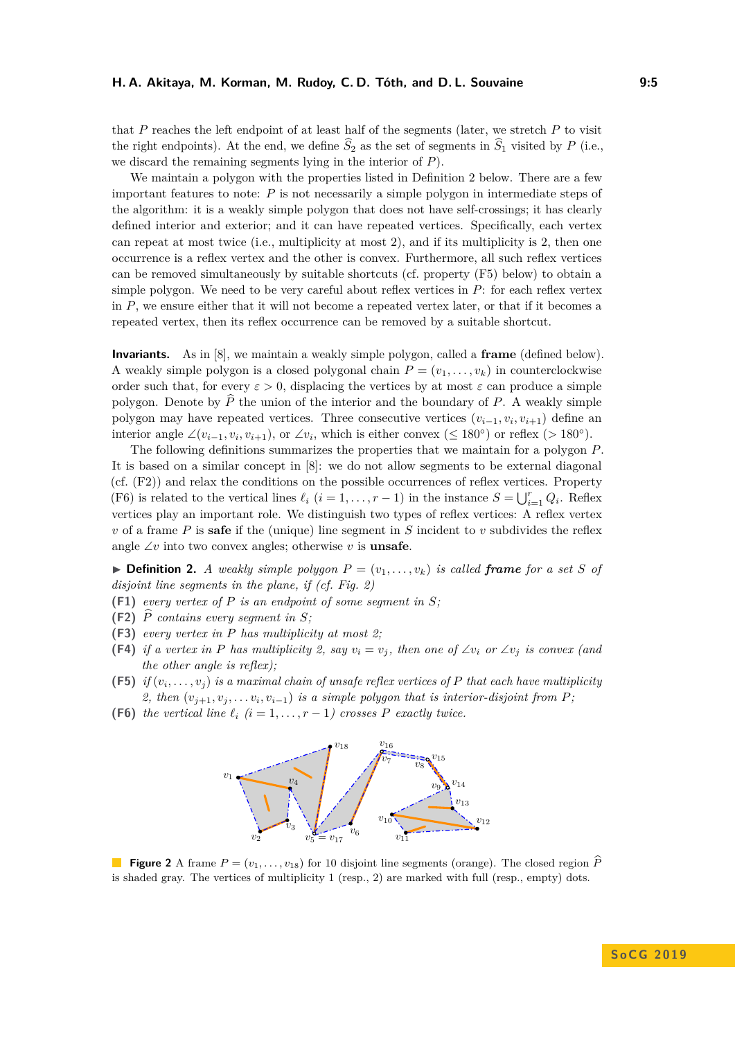that *P* reaches the left endpoint of at least half of the segments (later, we stretch *P* to visit the right endpoints). At the end, we define  $\hat{S}_2$  as the set of segments in  $\hat{S}_1$  visited by *P* (i.e., we discard the remaining segments lying in the interior of *P*).

We maintain a polygon with the properties listed in Definition [2](#page-4-0) below. There are a few important features to note: *P* is not necessarily a simple polygon in intermediate steps of the algorithm: it is a weakly simple polygon that does not have self-crossings; it has clearly defined interior and exterior; and it can have repeated vertices. Specifically, each vertex can repeat at most twice (i.e., multiplicity at most 2), and if its multiplicity is 2, then one occurrence is a reflex vertex and the other is convex. Furthermore, all such reflex vertices can be removed simultaneously by suitable shortcuts (cf. property (F5) below) to obtain a simple polygon. We need to be very careful about reflex vertices in *P*: for each reflex vertex in *P*, we ensure either that it will not become a repeated vertex later, or that if it becomes a repeated vertex, then its reflex occurrence can be removed by a suitable shortcut.

**Invariants.** As in [\[8\]](#page-15-3), we maintain a weakly simple polygon, called a **frame** (defined below). A weakly simple polygon is a closed polygonal chain  $P = (v_1, \ldots, v_k)$  in counterclockwise order such that, for every  $\varepsilon > 0$ , displacing the vertices by at most  $\varepsilon$  can produce a simple polygon. Denote by  $\hat{P}$  the union of the interior and the boundary of *P*. A weakly simple polygon may have repeated vertices. Three consecutive vertices  $(v_{i-1}, v_i, v_{i+1})$  define an interior angle  $\angle(v_{i-1}, v_i, v_{i+1})$ , or  $\angle v_i$ , which is either convex ( $\leq 180^\circ$ ) or reflex (> 180°).

The following definitions summarizes the properties that we maintain for a polygon *P*. It is based on a similar concept in [\[8\]](#page-15-3): we do not allow segments to be external diagonal (cf. (F2)) and relax the conditions on the possible occurrences of reflex vertices. Property (F6) is related to the vertical lines  $\ell_i$  ( $i = 1, ..., r - 1$ ) in the instance  $S = \bigcup_{i=1}^{r} Q_i$ . Reflex vertices play an important role. We distinguish two types of reflex vertices: A reflex vertex *v* of a frame *P* is **safe** if the (unique) line segment in *S* incident to *v* subdivides the reflex angle  $\angle v$  into two convex angles; otherwise *v* is **unsafe**.

<span id="page-4-0"></span> $\triangleright$  **Definition 2.** *A weakly simple polygon*  $P = (v_1, \ldots, v_k)$  *is called frame for a set S of disjoint line segments in the plane, if (cf. Fig. [2\)](#page-4-1)*

- **(F1)** *every vertex of P is an endpoint of some segment in S;*
- **(F2)**  $\widehat{P}$  *contains every segment in S;*
- **(F3)** *every vertex in P has multiplicity at most 2;*
- **(F4)** *if a vertex in P has multiplicity 2, say*  $v_i = v_j$ *, then one of* ∠*v<sub>i</sub> or* ∠*v<sub>j</sub> is convex (and the other angle is reflex);*
- **(F5)** *if*  $(v_i, \ldots, v_j)$  *is a maximal chain of unsafe reflex vertices of*  $P$  *that each have multiplicity* 2, then  $(v_{j+1}, v_j, \ldots v_i, v_{i-1})$  is a simple polygon that is interior-disjoint from P;
- <span id="page-4-1"></span>**(F6)** *the vertical line*  $\ell_i$  ( $i = 1, ..., r - 1$ ) crosses P exactly twice.



**Figure 2** A frame  $P = (v_1, \ldots, v_{18})$  for 10 disjoint line segments (orange). The closed region  $\hat{P}$ is shaded gray. The vertices of multiplicity 1 (resp., 2) are marked with full (resp., empty) dots.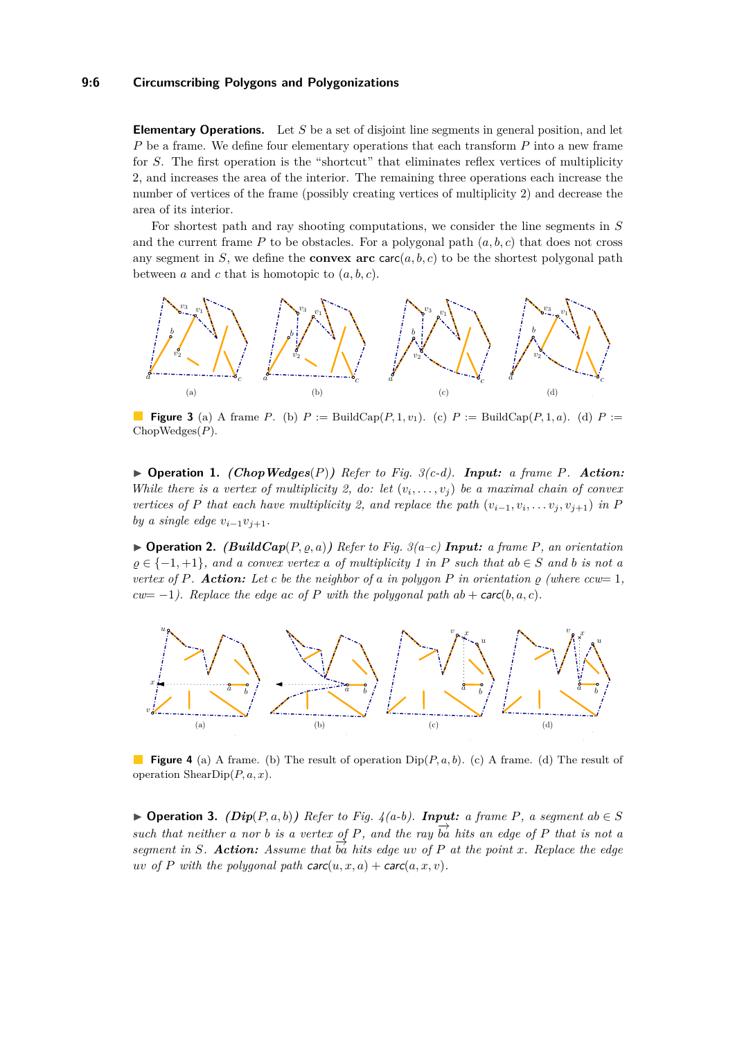## **9:6 Circumscribing Polygons and Polygonizations**

**Elementary Operations.** Let *S* be a set of disjoint line segments in general position, and let *P* be a frame. We define four elementary operations that each transform *P* into a new frame for *S*. The first operation is the "shortcut" that eliminates reflex vertices of multiplicity 2, and increases the area of the interior. The remaining three operations each increase the number of vertices of the frame (possibly creating vertices of multiplicity 2) and decrease the area of its interior.

For shortest path and ray shooting computations, we consider the line segments in *S* and the current frame  $P$  to be obstacles. For a polygonal path  $(a, b, c)$  that does not cross any segment in *S*, we define the **convex arc**  $\text{car}(a, b, c)$  to be the shortest polygonal path between *a* and *c* that is homotopic to  $(a, b, c)$ .

<span id="page-5-0"></span>

**Figure 3** (a) A frame *P*. (b)  $P := \text{BuildCap}(P, 1, v_1)$ . (c)  $P := \text{BuildCap}(P, 1, a)$ . (d)  $P :=$ ChopWedges(*P*).

I **Operation 1.** *(ChopWedges*(*P*)*) Refer to Fig. [3\(](#page-5-0)c-d). Input: a frame P. Action: While there is a vertex of multiplicity 2, do: let*  $(v_i, \ldots, v_j)$  *be a maximal chain of convex vertices of P* that each have multiplicity 2, and replace the path  $(v_{i-1}, v_i, \ldots, v_j, v_{j+1})$  in *P by a single edge*  $v_{i-1}v_{i+1}$ *.* 

 $\triangleright$  **Operation 2.** *(BuildCap(P,*  $\rho$ *, a)) Refer to Fig. 3(a–c) Input: a frame P, an orientation*  $\varrho \in \{-1, +1\}$ *, and a convex vertex a of multiplicity 1 in P such that*  $ab \in S$  *and b is not a vertex of P. Action: Let c be the neighbor of a in polygon P* in orientation  $\rho$  (where ccw= 1, *cw*= −1*).* Replace the edge ac of *P* with the polygonal path  $ab + \text{carc}(b, a, c)$ .

<span id="page-5-1"></span>

**Figure 4** (a) A frame. (b) The result of operation Dip(*P, a, b*). (c) A frame. (d) The result of operation ShearDip(*P, a, x*).

▶ **Operation 3.** *(Dip*(*P, a, b) ) Refer to Fig.*  $4(a-b)$ *. Input: a frame P, a segment*  $ab \in S$ such that neither a nor *b* is a vertex of *P*, and the ray ba hits an edge of *P* that is not a  $s$ *egment in*  $S$ *. Action: Assume that*  $b\acute{a}$  *hits edge uv of*  $P$  *at the point x. Replace the edge uv* of P with the polygonal path carc $(u, x, a) + \text{carc}(a, x, v)$ .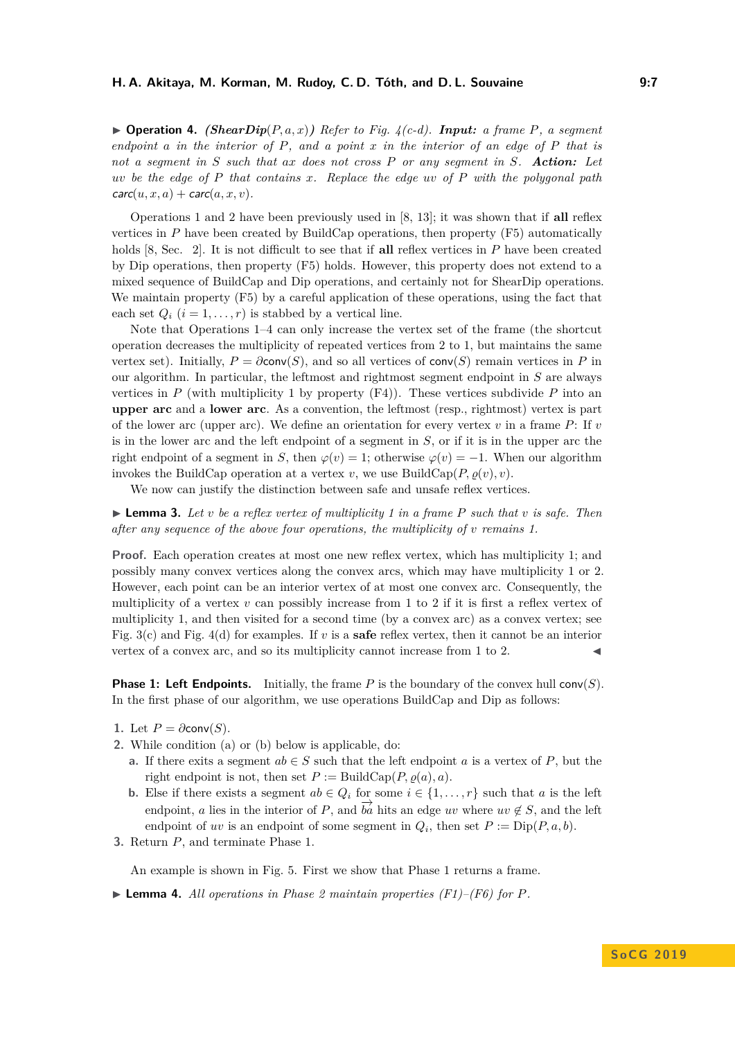$\triangleright$  **Operation 4.** *(ShearDip* $(P, a, x)$ *) Refer to Fig. 4(c-d). Input: a frame P, a segment endpoint a in the interior of P, and a point x in the interior of an edge of P that is not a segment in S such that ax does not cross P or any segment in S. Action: Let uv be the edge of P that contains x. Replace the edge uv of P with the polygonal path*  $\mathsf{carc}(u, x, a) + \mathsf{carc}(a, x, v).$ 

Operations 1 and 2 have been previously used in [\[8,](#page-15-3) [13\]](#page-15-4); it was shown that if **all** reflex vertices in *P* have been created by BuildCap operations, then property (F5) automatically holds [\[8,](#page-15-3) Sec. 2]. It is not difficult to see that if **all** reflex vertices in P have been created by Dip operations, then property (F5) holds. However, this property does not extend to a mixed sequence of BuildCap and Dip operations, and certainly not for ShearDip operations. We maintain property (F5) by a careful application of these operations, using the fact that each set  $Q_i$   $(i = 1, \ldots, r)$  is stabbed by a vertical line.

Note that Operations 1–4 can only increase the vertex set of the frame (the shortcut operation decreases the multiplicity of repeated vertices from 2 to 1, but maintains the same vertex set). Initially,  $P = \partial \text{conv}(S)$ , and so all vertices of  $\text{conv}(S)$  remain vertices in P in our algorithm. In particular, the leftmost and rightmost segment endpoint in *S* are always vertices in  $P$  (with multiplicity 1 by property  $(F4)$ ). These vertices subdivide  $P$  into an **upper arc** and a **lower arc**. As a convention, the leftmost (resp., rightmost) vertex is part of the lower arc (upper arc). We define an orientation for every vertex  $v$  in a frame  $P$ : If  $v$ is in the lower arc and the left endpoint of a segment in *S*, or if it is in the upper arc the right endpoint of a segment in *S*, then  $\varphi(v) = 1$ ; otherwise  $\varphi(v) = -1$ . When our algorithm invokes the BuildCap operation at a vertex *v*, we use BuildCap $(P, \varrho(v), v)$ .

We now can justify the distinction between safe and unsafe reflex vertices.

 $\blacktriangleright$  **Lemma 3.** Let *v* be a reflex vertex of multiplicity 1 in a frame P such that *v* is safe. Then *after any sequence of the above four operations, the multiplicity of v remains 1.*

**Proof.** Each operation creates at most one new reflex vertex, which has multiplicity 1; and possibly many convex vertices along the convex arcs, which may have multiplicity 1 or 2. However, each point can be an interior vertex of at most one convex arc. Consequently, the multiplicity of a vertex *v* can possibly increase from 1 to 2 if it is first a reflex vertex of multiplicity 1, and then visited for a second time (by a convex arc) as a convex vertex; see Fig. [3\(](#page-5-0)c) and Fig. [4\(](#page-5-1)d) for examples. If *v* is a **safe** reflex vertex, then it cannot be an interior vertex of a convex arc, and so its multiplicity cannot increase from 1 to 2.

**Phase 1: Left Endpoints.** Initially, the frame *P* is the boundary of the convex hull conv(*S*). In the first phase of our algorithm, we use operations BuildCap and Dip as follows:

- 1. Let  $P = \partial \text{conv}(S)$ .
- **2.** While condition (a) or (b) below is applicable, do:
	- **a.** If there exits a segment  $ab \in S$  such that the left endpoint *a* is a vertex of *P*, but the right endpoint is not, then set  $P := \text{BuildCap}(P, \rho(a), a)$ .
	- **b.** Else if there exists a segment  $ab \in Q_i$  for some  $i \in \{1, \ldots, r\}$  such that *a* is the left endpoint, *a* lies in the interior of *P*, and  $\overrightarrow{ba}$  hits an edge *uv* where  $uv \notin S$ , and the left endpoint of *uv* is an endpoint of some segment in  $Q_i$ , then set  $P := \text{Dip}(P, a, b)$ .
- **3.** Return *P*, and terminate Phase 1.

An example is shown in Fig. [5.](#page-7-0) First we show that Phase 1 returns a frame.

 $\blacktriangleright$  **Lemma 4.** All operations in Phase 2 maintain properties (F1)–(F6) for P.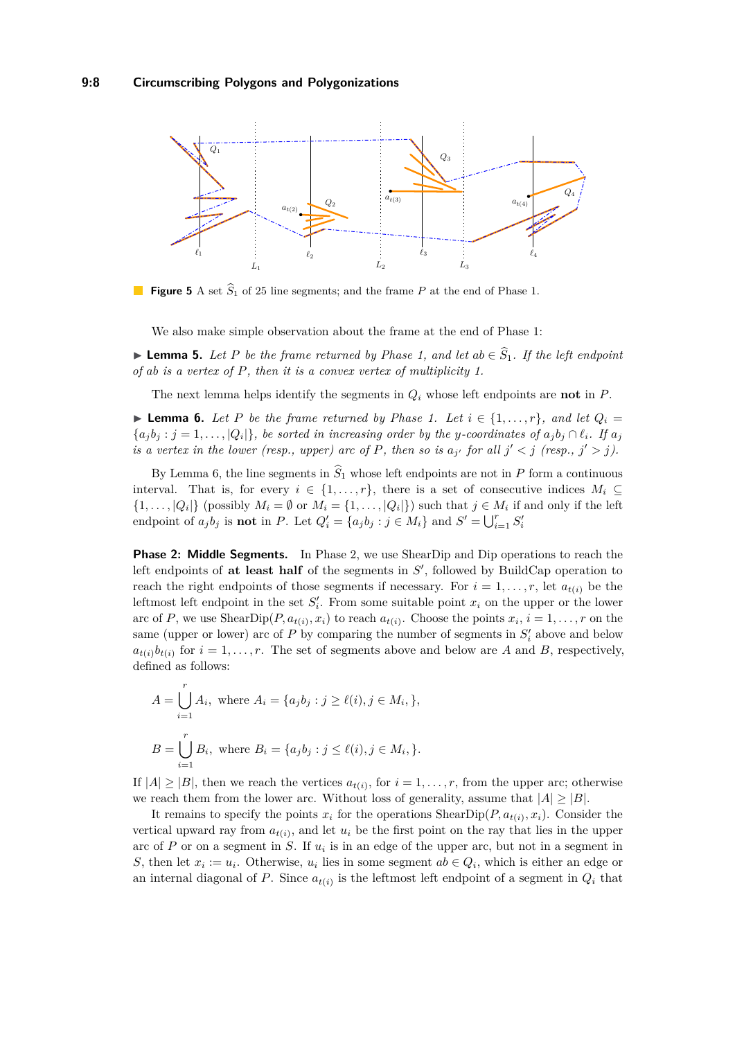<span id="page-7-0"></span>

 $\blacksquare$ **Figure 5** A set  $\widehat{S}_1$  of 25 line segments; and the frame P at the end of Phase 1.

We also make simple observation about the frame at the end of Phase 1:

<span id="page-7-2"></span>► **Lemma 5.** Let P be the frame returned by Phase 1, and let  $ab \in \hat{S}_1$ . If the left endpoint *of ab is a vertex of P, then it is a convex vertex of multiplicity 1.*

The next lemma helps identify the segments in *Q<sup>i</sup>* whose left endpoints are **not** in *P*.

<span id="page-7-1"></span>▶ **Lemma 6.** Let P be the frame returned by Phase 1. Let  $i \in \{1, \ldots, r\}$ , and let  $Q_i =$  ${a_jb_j : j = 1,..., |Q_i|}$ , be sorted in increasing order by the y-coordinates of  $a_jb_j \n\cap \ell_i$ . If  $a_j$ *is a vertex in the lower (resp., upper) arc of P, then so is*  $a_{j'}$  *for all*  $j' < j$  *(resp.,*  $j' > j$ *).* 

By Lemma [6,](#page-7-1) the line segments in  $\hat{S}_1$  whose left endpoints are not in *P* form a continuous interval. That is, for every  $i \in \{1, \ldots, r\}$ , there is a set of consecutive indices  $M_i \subseteq$  $\{1, \ldots, |Q_i|\}$  (possibly  $M_i = \emptyset$  or  $M_i = \{1, \ldots, |Q_i|\}$ ) such that  $j \in M_i$  if and only if the left endpoint of  $a_j b_j$  is **not** in *P*. Let  $Q'_i = \{a_j b_j : j \in M_i\}$  and  $S' = \bigcup_{i=1}^r S'_i$ 

**Phase 2: Middle Segments.** In Phase 2, we use ShearDip and Dip operations to reach the left endpoints of at least half of the segments in  $S'$ , followed by BuildCap operation to reach the right endpoints of those segments if necessary. For  $i = 1, \ldots, r$ , let  $a_{t(i)}$  be the leftmost left endpoint in the set  $S_i'$ . From some suitable point  $x_i$  on the upper or the lower arc of *P*, we use ShearDip $(P, a_{t(i)}, x_i)$  to reach  $a_{t(i)}$ . Choose the points  $x_i, i = 1, \ldots, r$  on the same (upper or lower) arc of  $P$  by comparing the number of segments in  $S_i'$  above and below  $a_{t(i)}b_{t(i)}$  for  $i = 1, \ldots, r$ . The set of segments above and below are *A* and *B*, respectively, defined as follows:

$$
A = \bigcup_{i=1}^{r} A_i, \text{ where } A_i = \{a_j b_j : j \ge \ell(i), j \in M_i, \},
$$
  

$$
B = \bigcup_{i=1}^{r} B_i, \text{ where } B_i = \{a_j b_j : j \le \ell(i), j \in M_i, \}.
$$

If  $|A| \geq |B|$ , then we reach the vertices  $a_{t(i)}$ , for  $i = 1, \ldots, r$ , from the upper arc; otherwise we reach them from the lower arc. Without loss of generality, assume that  $|A| \geq |B|$ .

It remains to specify the points  $x_i$  for the operations ShearDip( $P, a_{t(i)}, x_i$ ). Consider the vertical upward ray from  $a_{t(i)}$ , and let  $u_i$  be the first point on the ray that lies in the upper arc of *P* or on a segment in *S*. If *u<sup>i</sup>* is in an edge of the upper arc, but not in a segment in *S*, then let  $x_i := u_i$ . Otherwise,  $u_i$  lies in some segment  $ab \in Q_i$ , which is either an edge or an internal diagonal of *P*. Since  $a_{t(i)}$  is the leftmost left endpoint of a segment in  $Q_i$  that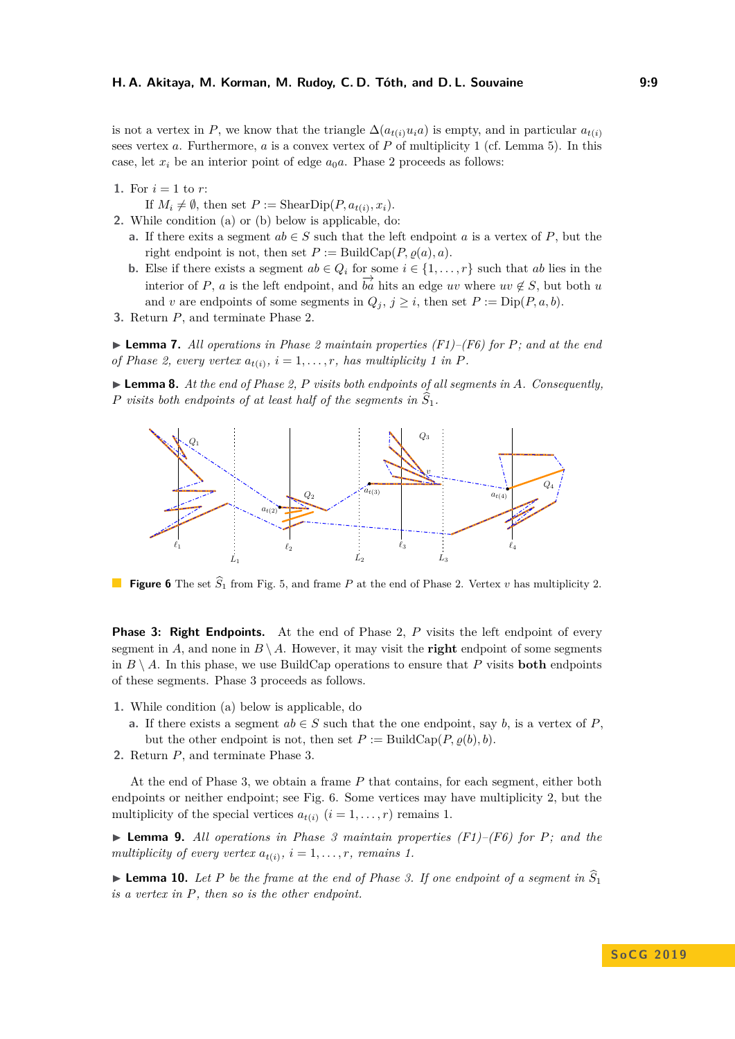is not a vertex in *P*, we know that the triangle  $\Delta(a_{t(i)}u_i a)$  is empty, and in particular  $a_{t(i)}$ sees vertex *a*. Furthermore, *a* is a convex vertex of *P* of multiplicity 1 (cf. Lemma [5\)](#page-7-2). In this case, let  $x_i$  be an interior point of edge  $a_0a$ . Phase 2 proceeds as follows:

**1.** For  $i = 1$  to  $r$ :

If  $M_i \neq \emptyset$ , then set  $P := \text{ShearDip}(P, a_{t(i)}, x_i)$ .

- **2.** While condition (a) or (b) below is applicable, do:
	- **a.** If there exits a segment  $ab \in S$  such that the left endpoint *a* is a vertex of *P*, but the right endpoint is not, then set  $P := \text{BuildCap}(P, \rho(a), a)$ .
	- **b.** Else if there exists a segment  $ab \in Q_i$  for some  $i \in \{1, \ldots, r\}$  such that  $ab$  lies in the interior of *P*, *a* is the left endpoint, and  $b\acute{a}$  hits an edge *uv* where  $uv \notin S$ , but both *u* and *v* are endpoints of some segments in  $Q_j$ ,  $j \geq i$ , then set  $P := \text{Dip}(P, a, b)$ .
- **3.** Return *P*, and terminate Phase 2.

 $\blacktriangleright$  **Lemma 7.** All operations in Phase 2 maintain properties (F1)–(F6) for P; and at the end *of Phase 2, every vertex*  $a_{t(i)}$ ,  $i = 1, \ldots, r$ , has multiplicity 1 in P.

<span id="page-8-2"></span>I **Lemma 8.** *At the end of Phase 2, P visits both endpoints of all segments in A. Consequently, P* visits both endpoints of at least half of the segments in  $S_1$ .

<span id="page-8-0"></span>

**Figure 6** The set  $S_1$  from Fig. [5,](#page-7-0) and frame P at the end of Phase 2. Vertex *v* has multiplicity 2.

**Phase 3: Right Endpoints.** At the end of Phase 2, P visits the left endpoint of every segment in *A*, and none in  $B \setminus A$ . However, it may visit the **right** endpoint of some segments in  $B \setminus A$ . In this phase, we use BuildCap operations to ensure that P visits **both** endpoints of these segments. Phase 3 proceeds as follows.

- **1.** While condition (a) below is applicable, do
	- **a.** If there exists a segment  $ab \in S$  such that the one endpoint, say *b*, is a vertex of *P*, but the other endpoint is not, then set  $P := \text{BuildCap}(P, \rho(b), b)$ .
- **2.** Return *P*, and terminate Phase 3.

At the end of Phase 3, we obtain a frame *P* that contains, for each segment, either both endpoints or neither endpoint; see Fig. [6.](#page-8-0) Some vertices may have multiplicity 2, but the multiplicity of the special vertices  $a_{t(i)}$  ( $i = 1, \ldots, r$ ) remains 1.

 $\triangleright$  **Lemma 9.** All operations in Phase 3 maintain properties (F1)–(F6) for P; and the *multiplicity of every vertex*  $a_{t(i)}$ ,  $i = 1, \ldots, r$ , remains 1.

<span id="page-8-1"></span>**Lemma 10.** Let P be the frame at the end of Phase 3. If one endpoint of a segment in  $\hat{S}_1$ *is a vertex in P, then so is the other endpoint.*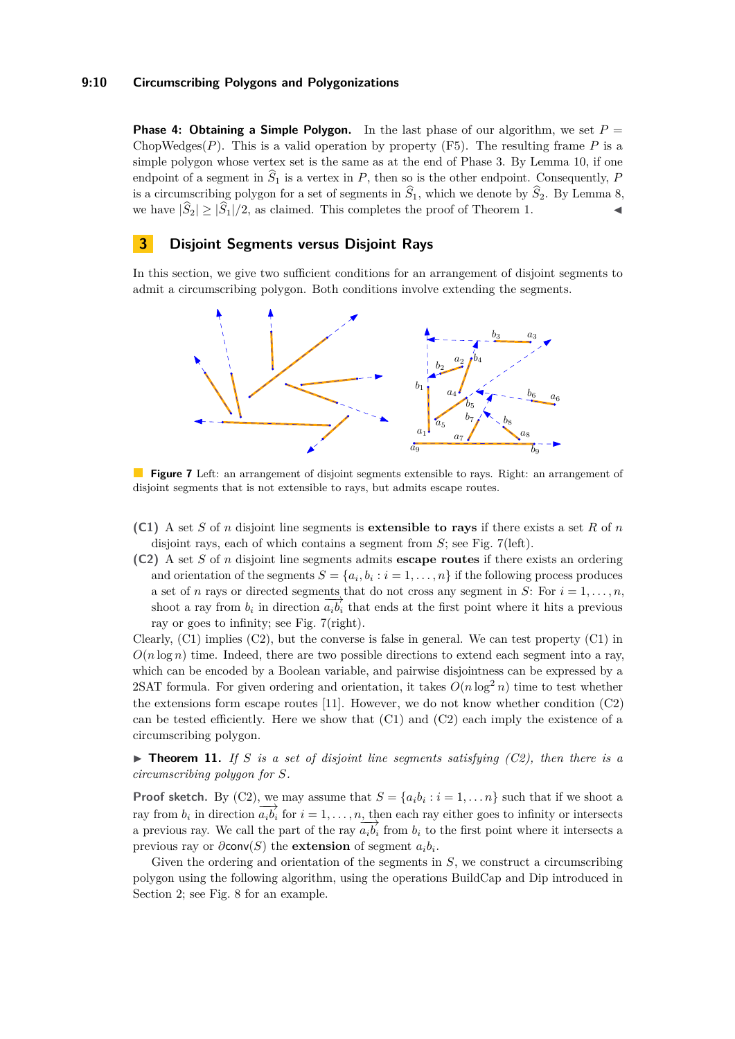#### **9:10 Circumscribing Polygons and Polygonizations**

**Phase 4: Obtaining a Simple Polygon.** In the last phase of our algorithm, we set  $P =$ ChopWedges $(P)$ . This is a valid operation by property  $(F5)$ . The resulting frame P is a simple polygon whose vertex set is the same as at the end of Phase 3. By Lemma [10,](#page-8-1) if one endpoint of a segment in  $\widehat{S}_1$  is a vertex in *P*, then so is the other endpoint. Consequently, *P* is a circumscribing polygon for a set of segments in  $\widehat{S}_1$ , which we denote by  $\widehat{S}_2$ . By Lemma [8,](#page-8-2) we have  $|\hat{S}_2| > |\hat{S}_1|/2$ , as claimed. This completes the proof of Theorem [1.](#page-2-0)

# <span id="page-9-0"></span>**3 Disjoint Segments versus Disjoint Rays**

<span id="page-9-1"></span>In this section, we give two sufficient conditions for an arrangement of disjoint segments to admit a circumscribing polygon. Both conditions involve extending the segments.



**Figure 7** Left: an arrangement of disjoint segments extensible to rays. Right: an arrangement of disjoint segments that is not extensible to rays, but admits escape routes.

- **(C1)** A set *S* of *n* disjoint line segments is **extensible to rays** if there exists a set *R* of *n* disjoint rays, each of which contains a segment from *S*; see Fig. [7\(](#page-9-1)left).
- **(C2)** A set *S* of *n* disjoint line segments admits **escape routes** if there exists an ordering and orientation of the segments  $S = \{a_i, b_i : i = 1, \ldots, n\}$  if the following process produces a set of *n* rays or directed segments that do not cross any segment in *S*: For  $i = 1, \ldots, n$ , shoot a ray from  $b_i$  in direction  $\overline{a_i b_i}$  that ends at the first point where it hits a previous ray or goes to infinity; see Fig. [7\(](#page-9-1)right).

Clearly,  $(C1)$  implies  $(C2)$ , but the converse is false in general. We can test property  $(C1)$  in  $O(n \log n)$  time. Indeed, there are two possible directions to extend each segment into a ray, which can be encoded by a Boolean variable, and pairwise disjointness can be expressed by a 2SAT formula. For given ordering and orientation, it takes  $O(n \log^2 n)$  time to test whether the extensions form escape routes [\[11\]](#page-15-11). However, we do not know whether condition (C2) can be tested efficiently. Here we show that  $(C1)$  and  $(C2)$  each imply the existence of a circumscribing polygon.

<span id="page-9-2"></span> $\triangleright$  **Theorem 11.** If *S* is a set of disjoint line segments satisfying (C2), then there is a *circumscribing polygon for S.*

**Proof sketch.** By (C2), we may assume that  $S = \{a_i b_i : i = 1, \ldots n\}$  such that if we shoot a  $\overrightarrow{a_i b_i}$  for  $\overrightarrow{a_i b_i}$  for  $i = 1, \ldots, n$ , then each ray either goes to infinity or intersects a previous ray. We call the part of the ray  $\overline{a_i b_i}$  from  $b_i$  to the first point where it intersects a previous ray or  $\partial \text{conv}(S)$  the **extension** of segment  $a_i b_i$ .

Given the ordering and orientation of the segments in *S*, we construct a circumscribing polygon using the following algorithm, using the operations BuildCap and Dip introduced in Section [2;](#page-2-1) see Fig. [8](#page-10-0) for an example.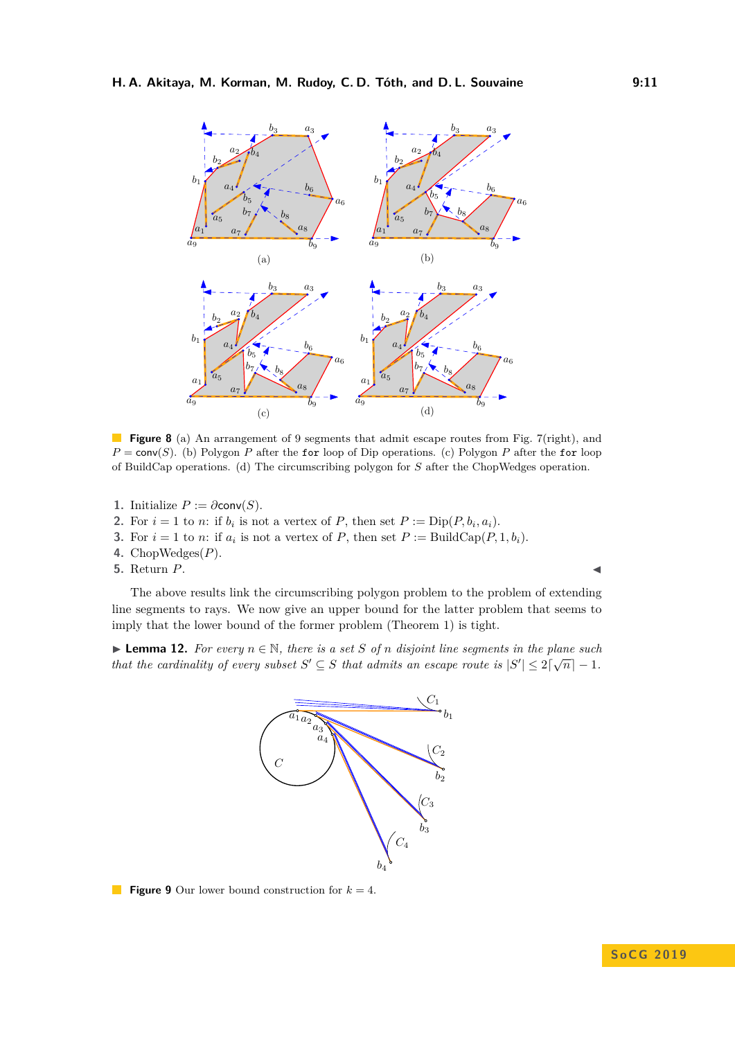<span id="page-10-0"></span>

**Figure 8** (a) An arrangement of 9 segments that admit escape routes from Fig. [7\(](#page-9-1)right), and  $P = \text{conv}(S)$ . (b) Polygon *P* after the for loop of Dip operations. (c) Polygon *P* after the for loop of BuildCap operations. (d) The circumscribing polygon for *S* after the ChopWedges operation.

- **1.** Initialize *P* :=  $\partial$ **conv**(*S*).
- **2.** For  $i = 1$  to *n*: if  $b_i$  is not a vertex of *P*, then set  $P := \text{Dip}(P, b_i, a_i)$ .
- **3.** For  $i = 1$  to *n*: if  $a_i$  is not a vertex of *P*, then set  $P := \text{BuildCap}(P, 1, b_i)$ .
- **4.** ChopWedges(*P*).
- **5.** Return *P*. J

The above results link the circumscribing polygon problem to the problem of extending line segments to rays. We now give an upper bound for the latter problem that seems to imply that the lower bound of the former problem (Theorem [1\)](#page-2-0) is tight.

<span id="page-10-2"></span><span id="page-10-1"></span>**► Lemma 12.** For every  $n \in \mathbb{N}$ , there is a set *S* of *n* disjoint line segments in the plane such *that the cardinality of every subset*  $S' \subseteq S$  *that admits an escape route is*  $|S'| \leq 2\lceil \sqrt{n} \rceil - 1$ *.* 



**Figure 9** Our lower bound construction for  $k = 4$ .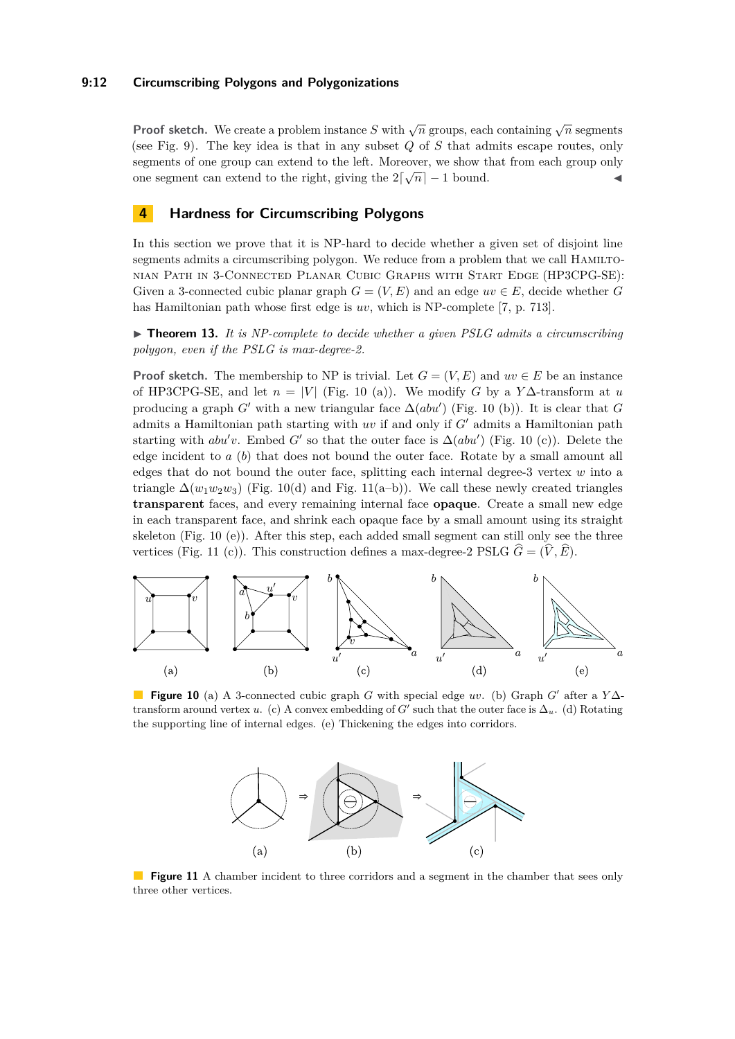#### **9:12 Circumscribing Polygons and Polygonizations**

**Proof sketch.** We create a problem instance S with  $\sqrt{n}$  groups, each containing  $\sqrt{n}$  segments (see Fig. [9\)](#page-10-1). The key idea is that in any subset *Q* of *S* that admits escape routes, only segments of one group can extend to the left. Moreover, we show that from each group only one segment can extend to the right, giving the  $2[\sqrt{n}] - 1$  bound.

# <span id="page-11-1"></span>**4 Hardness for Circumscribing Polygons**

In this section we prove that it is NP-hard to decide whether a given set of disjoint line segments admits a circumscribing polygon. We reduce from a problem that we call HAMILTOnian Path in 3-Connected Planar Cubic Graphs with Start Edge (HP3CPG-SE): Given a 3-connected cubic planar graph  $G = (V, E)$  and an edge  $uv \in E$ , decide whether *G* has Hamiltonian path whose first edge is *uv*, which is NP-complete [\[7,](#page-15-7) p. 713].

<span id="page-11-0"></span>▶ **Theorem 13.** *It is NP-complete to decide whether a given PSLG admits a circumscribing polygon, even if the PSLG is max-degree-2.*

**Proof sketch.** The membership to NP is trivial. Let  $G = (V, E)$  and  $uv \in E$  be an instance of HP3CPG-SE, and let  $n = |V|$  (Fig. [10](#page-11-2) (a)). We modify G by a  $Y\Delta$ -transform at u producing a graph  $G'$  with a new triangular face  $\Delta(abu')$  (Fig. [10](#page-11-2) (b)). It is clear that  $G$ admits a Hamiltonian path starting with  $uv$  if and only if  $G'$  admits a Hamiltonian path starting with  $abu'v$ . Embed *G*<sup>*'*</sup> so that the outer face is  $\Delta(abu')$  (Fig. [10](#page-11-2) (c)). Delete the edge incident to *a* (*b*) that does not bound the outer face. Rotate by a small amount all edges that do not bound the outer face, splitting each internal degree-3 vertex *w* into a triangle  $\Delta(w_1w_2w_3)$  (Fig. [10\(](#page-11-2)d) and Fig. [11\(](#page-11-3)a–b)). We call these newly created triangles **transparent** faces, and every remaining internal face **opaque**. Create a small new edge in each transparent face, and shrink each opaque face by a small amount using its straight skeleton (Fig. [10](#page-11-2) (e)). After this step, each added small segment can still only see the three vertices (Fig. [11](#page-11-3) (c)). This construction defines a max-degree-2 PSLG  $\hat{G} = (\hat{V}, \hat{E})$ .

<span id="page-11-2"></span>

<span id="page-11-3"></span>**Figure 10** (a) A 3-connected cubic graph *G* with special edge *uv*. (b) Graph *G'* after a  $Y\Delta$ transform around vertex *u*. (c) A convex embedding of *G*' such that the outer face is  $\Delta_u$ . (d) Rotating the supporting line of internal edges. (e) Thickening the edges into corridors.



**Figure 11** A chamber incident to three corridors and a segment in the chamber that sees only three other vertices.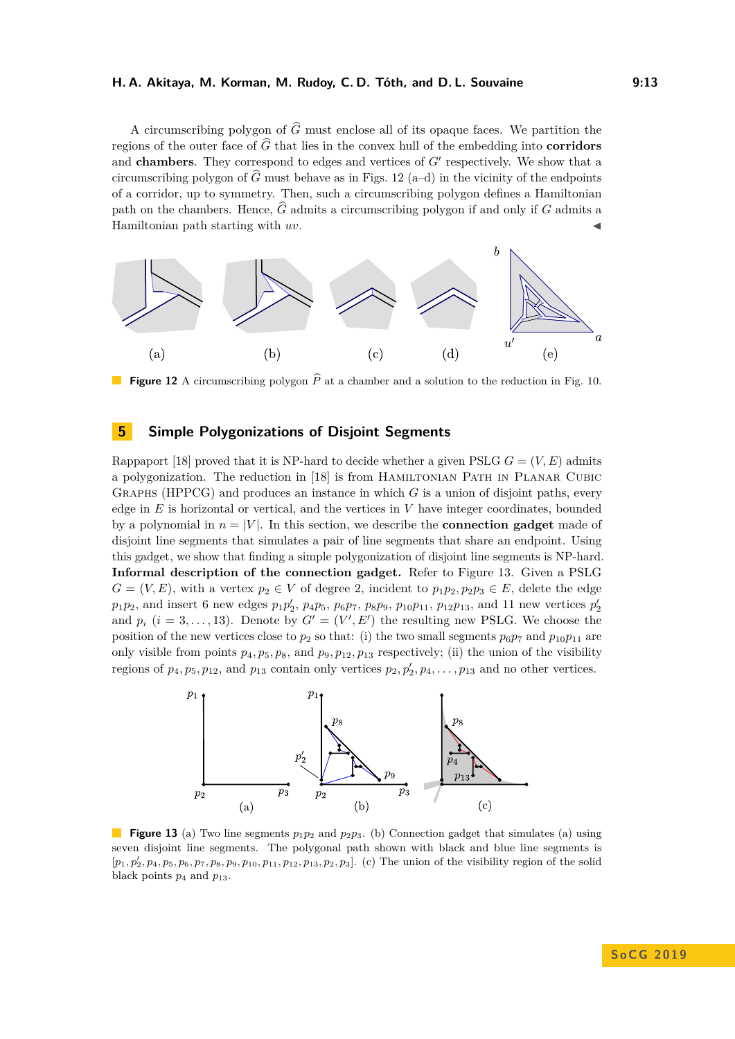#### **H. A. Akitaya, M. Korman, M. Rudoy, C. D. Tóth, and D. L. Souvaine 9:13**

A circumscribing polygon of  $\widehat{G}$  must enclose all of its opaque faces. We partition the regions of the outer face of  $\widehat{G}$  that lies in the convex hull of the embedding into **corridors** and **chambers**. They correspond to edges and vertices of  $G'$  respectively. We show that a circumscribing polygon of  $\widehat{G}$  must behave as in Figs. [12](#page-12-1) (a–d) in the vicinity of the endpoints of a corridor, up to symmetry. Then, such a circumscribing polygon defines a Hamiltonian path on the chambers. Hence,  $\hat{G}$  admits a circumscribing polygon if and only if  $G$  admits a Hamiltonian path starting with  $uv$ .

<span id="page-12-1"></span>

**Figure 12** A circumscribing polygon  $\widehat{P}$  at a chamber and a solution to the reduction in Fig. [10.](#page-11-2)

# <span id="page-12-0"></span>**5 Simple Polygonizations of Disjoint Segments**

Rappaport [\[18\]](#page-16-4) proved that it is NP-hard to decide whether a given PSLG  $G = (V, E)$  admits a polygonization. The reduction in [\[18\]](#page-16-4) is from Hamiltonian Path in Planar Cubic Graphs (HPPCG) and produces an instance in which *G* is a union of disjoint paths, every edge in *E* is horizontal or vertical, and the vertices in *V* have integer coordinates, bounded by a polynomial in  $n = |V|$ . In this section, we describe the **connection gadget** made of disjoint line segments that simulates a pair of line segments that share an endpoint. Using this gadget, we show that finding a simple polygonization of disjoint line segments is NP-hard. **Informal description of the connection gadget.** Refer to Figure [13.](#page-12-2) Given a PSLG *G* = (*V, E*), with a vertex  $p_2$  ∈ *V* of degree 2, incident to  $p_1p_2, p_2p_3$  ∈ *E*, delete the edge  $p_1p_2$ , and insert 6 new edges  $p_1p_2'$ ,  $p_4p_5$ ,  $p_6p_7$ ,  $p_8p_9$ ,  $p_{10}p_{11}$ ,  $p_{12}p_{13}$ , and 11 new vertices  $p_2'$ and  $p_i$  ( $i = 3, ..., 13$ ). Denote by  $G' = (V', E')$  the resulting new PSLG. We choose the position of the new vertices close to  $p_2$  so that: (i) the two small segments  $p_6p_7$  and  $p_{10}p_{11}$  are only visible from points  $p_4, p_5, p_8$ , and  $p_9, p_{12}, p_{13}$  respectively; (ii) the union of the visibility regions of  $p_4, p_5, p_{12}$ , and  $p_{13}$  contain only vertices  $p_2, p'_2, p_4, \ldots, p_{13}$  and no other vertices.

<span id="page-12-2"></span>

**Figure 13** (a) Two line segments  $p_1p_2$  and  $p_2p_3$ . (b) Connection gadget that simulates (a) using seven disjoint line segments. The polygonal path shown with black and blue line segments is  $[p_1, p'_2, p_4, p_5, p_6, p_7, p_8, p_9, p_{10}, p_{11}, p_{12}, p_{13}, p_2, p_3]$ . (c) The union of the visibility region of the solid black points  $p_4$  and  $p_{13}$ .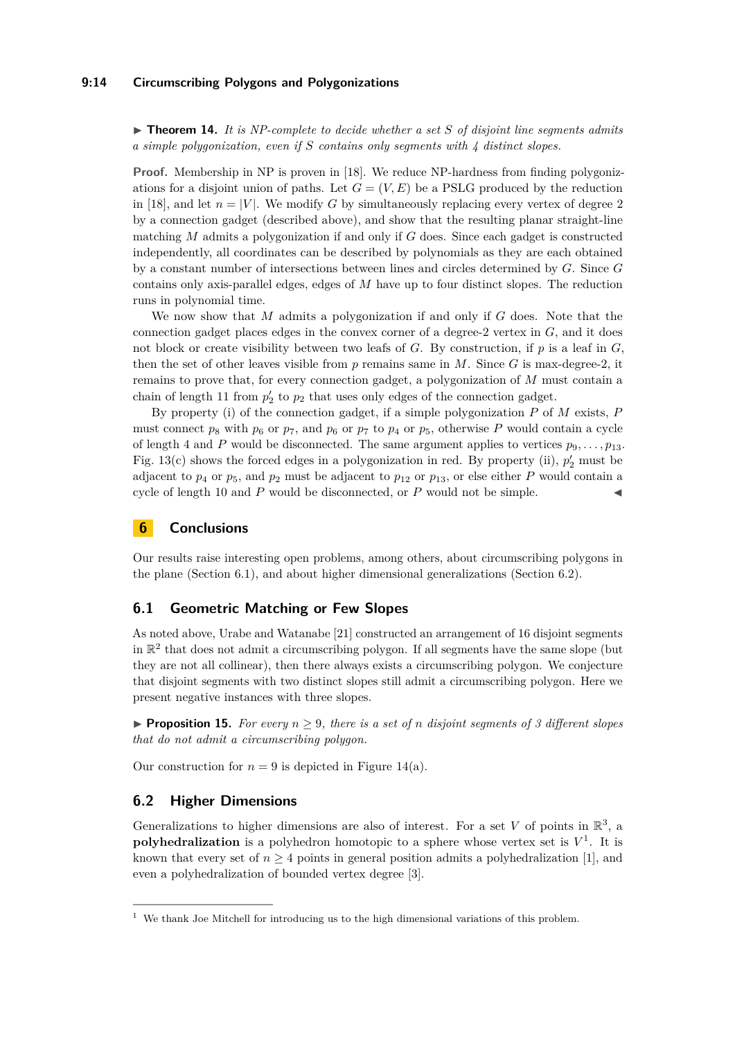#### **9:14 Circumscribing Polygons and Polygonizations**

<span id="page-13-0"></span> $\triangleright$  **Theorem 14.** It is NP-complete to decide whether a set S of disjoint line segments admits *a simple polygonization, even if S contains only segments with 4 distinct slopes.*

**Proof.** Membership in NP is proven in [\[18\]](#page-16-4). We reduce NP-hardness from finding polygonizations for a disjoint union of paths. Let  $G = (V, E)$  be a PSLG produced by the reduction in [\[18\]](#page-16-4), and let  $n = |V|$ . We modify G by simultaneously replacing every vertex of degree 2 by a connection gadget (described above), and show that the resulting planar straight-line matching *M* admits a polygonization if and only if *G* does. Since each gadget is constructed independently, all coordinates can be described by polynomials as they are each obtained by a constant number of intersections between lines and circles determined by *G*. Since *G* contains only axis-parallel edges, edges of *M* have up to four distinct slopes. The reduction runs in polynomial time.

We now show that *M* admits a polygonization if and only if *G* does. Note that the connection gadget places edges in the convex corner of a degree-2 vertex in *G*, and it does not block or create visibility between two leafs of  $G$ . By construction, if  $p$  is a leaf in  $G$ , then the set of other leaves visible from *p* remains same in *M*. Since *G* is max-degree-2, it remains to prove that, for every connection gadget, a polygonization of *M* must contain a chain of length 11 from  $p'_2$  to  $p_2$  that uses only edges of the connection gadget.

By property (i) of the connection gadget, if a simple polygonization *P* of *M* exists, *P* must connect  $p_8$  with  $p_6$  or  $p_7$ , and  $p_6$  or  $p_7$  to  $p_4$  or  $p_5$ , otherwise P would contain a cycle of length 4 and *P* would be disconnected. The same argument applies to vertices  $p_9, \ldots, p_{13}$ . Fig. [13\(](#page-12-2)c) shows the forced edges in a polygonization in red. By property (ii),  $p'_2$  must be adjacent to  $p_4$  or  $p_5$ , and  $p_2$  must be adjacent to  $p_{12}$  or  $p_{13}$ , or else either *P* would contain a cycle of length 10 and  $P$  would be disconnected, or  $P$  would not be simple.

# <span id="page-13-1"></span>**6 Conclusions**

Our results raise interesting open problems, among others, about circumscribing polygons in the plane (Section [6.1\)](#page-13-2), and about higher dimensional generalizations (Section [6.2\)](#page-13-3).

## <span id="page-13-2"></span>**6.1 Geometric Matching or Few Slopes**

As noted above, Urabe and Watanabe [\[21\]](#page-16-2) constructed an arrangement of 16 disjoint segments in  $\mathbb{R}^2$  that does not admit a circumscribing polygon. If all segments have the same slope (but they are not all collinear), then there always exists a circumscribing polygon. We conjecture that disjoint segments with two distinct slopes still admit a circumscribing polygon. Here we present negative instances with three slopes.

**Proposition 15.** For every  $n \geq 9$ , there is a set of *n* disjoint segments of 3 different slopes *that do not admit a circumscribing polygon.*

Our construction for  $n = 9$  is depicted in Figure [14\(](#page-14-0)a).

#### <span id="page-13-3"></span>**6.2 Higher Dimensions**

Generalizations to higher dimensions are also of interest. For a set  $V$  of points in  $\mathbb{R}^3$ , a **polyhedralization** is a polyhedron homotopic to a sphere whose vertex set is  $V^1$  $V^1$ . It is known that every set of  $n \geq 4$  points in general position admits a polyhedralization [\[1\]](#page-15-12), and even a polyhedralization of bounded vertex degree [\[3\]](#page-15-13).

<span id="page-13-4"></span><sup>&</sup>lt;sup>1</sup> We thank Joe Mitchell for introducing us to the high dimensional variations of this problem.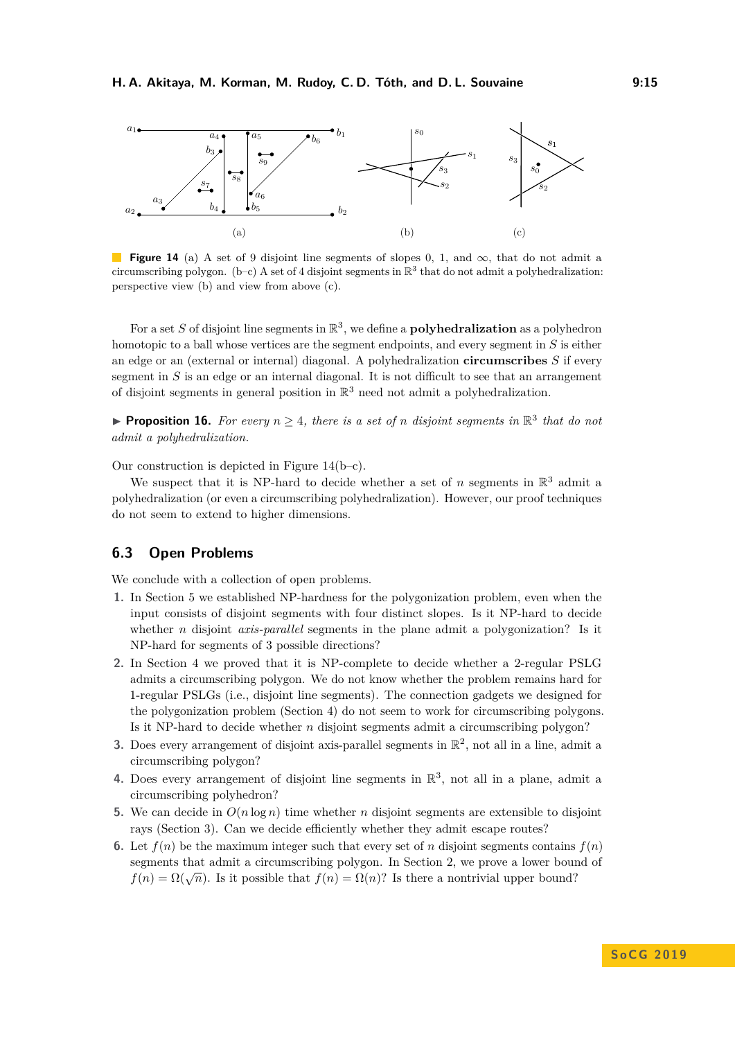<span id="page-14-0"></span>

**Figure 14** (a) A set of 9 disjoint line segments of slopes 0, 1, and ∞, that do not admit a circumscribing polygon. (b-c) A set of 4 disjoint segments in  $\mathbb{R}^3$  that do not admit a polyhedralization: perspective view (b) and view from above (c).

For a set S of disjoint line segments in  $\mathbb{R}^3$ , we define a **polyhedralization** as a polyhedron homotopic to a ball whose vertices are the segment endpoints, and every segment in *S* is either an edge or an (external or internal) diagonal. A polyhedralization **circumscribes** *S* if every segment in *S* is an edge or an internal diagonal. It is not difficult to see that an arrangement of disjoint segments in general position in  $\mathbb{R}^3$  need not admit a polyhedralization.

**Proposition 16.** For every  $n \geq 4$ , there is a set of *n* disjoint segments in  $\mathbb{R}^3$  that do not *admit a polyhedralization.*

Our construction is depicted in Figure [14\(](#page-14-0)b–c).

We suspect that it is NP-hard to decide whether a set of  $n$  segments in  $\mathbb{R}^3$  admit a polyhedralization (or even a circumscribing polyhedralization). However, our proof techniques do not seem to extend to higher dimensions.

## **6.3 Open Problems**

We conclude with a collection of open problems.

- **1.** In Section [5](#page-12-0) we established NP-hardness for the polygonization problem, even when the input consists of disjoint segments with four distinct slopes. Is it NP-hard to decide whether *n* disjoint *axis-parallel* segments in the plane admit a polygonization? Is it NP-hard for segments of 3 possible directions?
- **2.** In Section [4](#page-11-1) we proved that it is NP-complete to decide whether a 2-regular PSLG admits a circumscribing polygon. We do not know whether the problem remains hard for 1-regular PSLGs (i.e., disjoint line segments). The connection gadgets we designed for the polygonization problem (Section [4\)](#page-11-1) do not seem to work for circumscribing polygons. Is it NP-hard to decide whether *n* disjoint segments admit a circumscribing polygon?
- **3.** Does every arrangement of disjoint axis-parallel segments in  $\mathbb{R}^2$ , not all in a line, admit a circumscribing polygon?
- **4.** Does every arrangement of disjoint line segments in  $\mathbb{R}^3$ , not all in a plane, admit a circumscribing polyhedron?
- **5.** We can decide in  $O(n \log n)$  time whether *n* disjoint segments are extensible to disjoint rays (Section [3\)](#page-9-0). Can we decide efficiently whether they admit escape routes?
- **6.** Let  $f(n)$  be the maximum integer such that every set of *n* disjoint segments contains  $f(n)$ segments that admit a circumscribing polygon. In Section [2,](#page-2-1) we prove a lower bound of  $f(n) = \Omega(\sqrt{n})$ . Is it possible that  $f(n) = \Omega(n)$ ? Is there a nontrivial upper bound?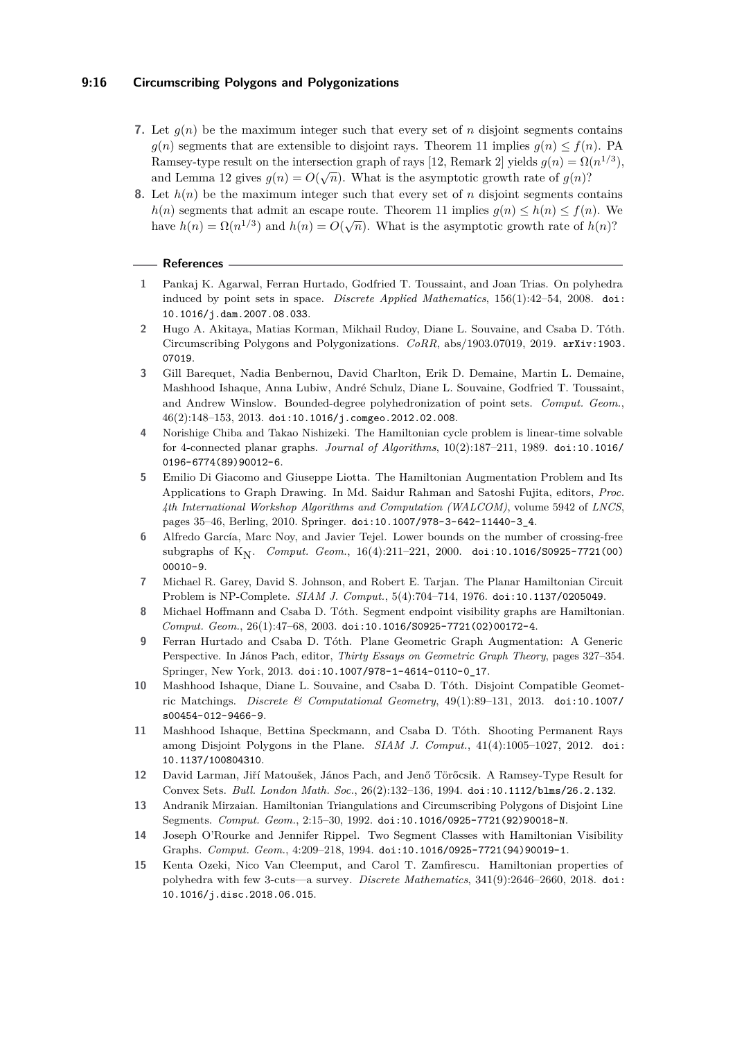## **9:16 Circumscribing Polygons and Polygonizations**

- **7.** Let  $q(n)$  be the maximum integer such that every set of *n* disjoint segments contains  $g(n)$  segments that are extensible to disjoint rays. Theorem [11](#page-9-2) implies  $g(n) \leq f(n)$ . PA Ramsey-type result on the intersection graph of rays [\[12,](#page-15-14) Remark 2] yields  $g(n) = \Omega(n^{1/3})$ , and Lemma [12](#page-10-2) gives  $g(n) = O(\sqrt{n})$ . What is the asymptotic growth rate of  $g(n)$ ?
- **8.** Let  $h(n)$  be the maximum integer such that every set of *n* disjoint segments contains *h*(*n*) segments that admit an escape route. Theorem [11](#page-9-2) implies  $q(n) \leq h(n) \leq f(n)$ . We have  $h(n) = \Omega(n^{1/3})$  and  $h(n) = O(\sqrt{n})$ . What is the asymptotic growth rate of  $h(n)$ ?

## **References**

- <span id="page-15-12"></span>**1** Pankaj K. Agarwal, Ferran Hurtado, Godfried T. Toussaint, and Joan Trias. On polyhedra induced by point sets in space. *Discrete Applied Mathematics*, 156(1):42–54, 2008. [doi:](http://dx.doi.org/10.1016/j.dam.2007.08.033) [10.1016/j.dam.2007.08.033](http://dx.doi.org/10.1016/j.dam.2007.08.033).
- <span id="page-15-0"></span>**2** Hugo A. Akitaya, Matias Korman, Mikhail Rudoy, Diane L. Souvaine, and Csaba D. Tóth. Circumscribing Polygons and Polygonizations. *CoRR*, abs/1903.07019, 2019. [arXiv:1903.](http://arxiv.org/abs/1903.07019) [07019](http://arxiv.org/abs/1903.07019).
- <span id="page-15-13"></span>**3** Gill Barequet, Nadia Benbernou, David Charlton, Erik D. Demaine, Martin L. Demaine, Mashhood Ishaque, Anna Lubiw, André Schulz, Diane L. Souvaine, Godfried T. Toussaint, and Andrew Winslow. Bounded-degree polyhedronization of point sets. *Comput. Geom.*, 46(2):148–153, 2013. [doi:10.1016/j.comgeo.2012.02.008](http://dx.doi.org/10.1016/j.comgeo.2012.02.008).
- <span id="page-15-8"></span>**4** Norishige Chiba and Takao Nishizeki. The Hamiltonian cycle problem is linear-time solvable for 4-connected planar graphs. *Journal of Algorithms*, 10(2):187–211, 1989. [doi:10.1016/](http://dx.doi.org/10.1016/0196-6774(89)90012-6) [0196-6774\(89\)90012-6](http://dx.doi.org/10.1016/0196-6774(89)90012-6).
- <span id="page-15-9"></span>**5** Emilio Di Giacomo and Giuseppe Liotta. The Hamiltonian Augmentation Problem and Its Applications to Graph Drawing. In Md. Saidur Rahman and Satoshi Fujita, editors, *Proc. 4th International Workshop Algorithms and Computation (WALCOM)*, volume 5942 of *LNCS*, pages 35–46, Berling, 2010. Springer. [doi:10.1007/978-3-642-11440-3\\_4](http://dx.doi.org/10.1007/978-3-642-11440-3_4).
- <span id="page-15-1"></span>**6** Alfredo García, Marc Noy, and Javier Tejel. Lower bounds on the number of crossing-free subgraphs of KN. *Comput. Geom.*, 16(4):211–221, 2000. [doi:10.1016/S0925-7721\(00\)](http://dx.doi.org/10.1016/S0925-7721(00)00010-9) [00010-9](http://dx.doi.org/10.1016/S0925-7721(00)00010-9).
- <span id="page-15-7"></span>**7** Michael R. Garey, David S. Johnson, and Robert E. Tarjan. The Planar Hamiltonian Circuit Problem is NP-Complete. *SIAM J. Comput.*, 5(4):704–714, 1976. [doi:10.1137/0205049](http://dx.doi.org/10.1137/0205049).
- <span id="page-15-3"></span>**8** Michael Hoffmann and Csaba D. Tóth. Segment endpoint visibility graphs are Hamiltonian. *Comput. Geom.*, 26(1):47–68, 2003. [doi:10.1016/S0925-7721\(02\)00172-4](http://dx.doi.org/10.1016/S0925-7721(02)00172-4).
- <span id="page-15-2"></span>**9** Ferran Hurtado and Csaba D. Tóth. Plane Geometric Graph Augmentation: A Generic Perspective. In János Pach, editor, *Thirty Essays on Geometric Graph Theory*, pages 327–354. Springer, New York, 2013. [doi:10.1007/978-1-4614-0110-0\\_17](http://dx.doi.org/10.1007/978-1-4614-0110-0_17).
- <span id="page-15-6"></span>**10** Mashhood Ishaque, Diane L. Souvaine, and Csaba D. Tóth. Disjoint Compatible Geometric Matchings. *Discrete & Computational Geometry*, 49(1):89–131, 2013. [doi:10.1007/](http://dx.doi.org/10.1007/s00454-012-9466-9) [s00454-012-9466-9](http://dx.doi.org/10.1007/s00454-012-9466-9).
- <span id="page-15-11"></span>**11** Mashhood Ishaque, Bettina Speckmann, and Csaba D. Tóth. Shooting Permanent Rays among Disjoint Polygons in the Plane. *SIAM J. Comput.*, 41(4):1005–1027, 2012. [doi:](http://dx.doi.org/10.1137/100804310) [10.1137/100804310](http://dx.doi.org/10.1137/100804310).
- <span id="page-15-14"></span>**12** David Larman, Jiří Matoušek, János Pach, and Jenő Törőcsik. A Ramsey-Type Result for Convex Sets. *Bull. London Math. Soc.*, 26(2):132–136, 1994. [doi:10.1112/blms/26.2.132](http://dx.doi.org/10.1112/blms/26.2.132).
- <span id="page-15-4"></span>**13** Andranik Mirzaian. Hamiltonian Triangulations and Circumscribing Polygons of Disjoint Line Segments. *Comput. Geom.*, 2:15–30, 1992. [doi:10.1016/0925-7721\(92\)90018-N](http://dx.doi.org/10.1016/0925-7721(92)90018-N).
- <span id="page-15-5"></span>**14** Joseph O'Rourke and Jennifer Rippel. Two Segment Classes with Hamiltonian Visibility Graphs. *Comput. Geom.*, 4:209–218, 1994. [doi:10.1016/0925-7721\(94\)90019-1](http://dx.doi.org/10.1016/0925-7721(94)90019-1).
- <span id="page-15-10"></span>**15** Kenta Ozeki, Nico Van Cleemput, and Carol T. Zamfirescu. Hamiltonian properties of polyhedra with few 3-cuts—a survey. *Discrete Mathematics*, 341(9):2646–2660, 2018. [doi:](http://dx.doi.org/10.1016/j.disc.2018.06.015) [10.1016/j.disc.2018.06.015](http://dx.doi.org/10.1016/j.disc.2018.06.015).